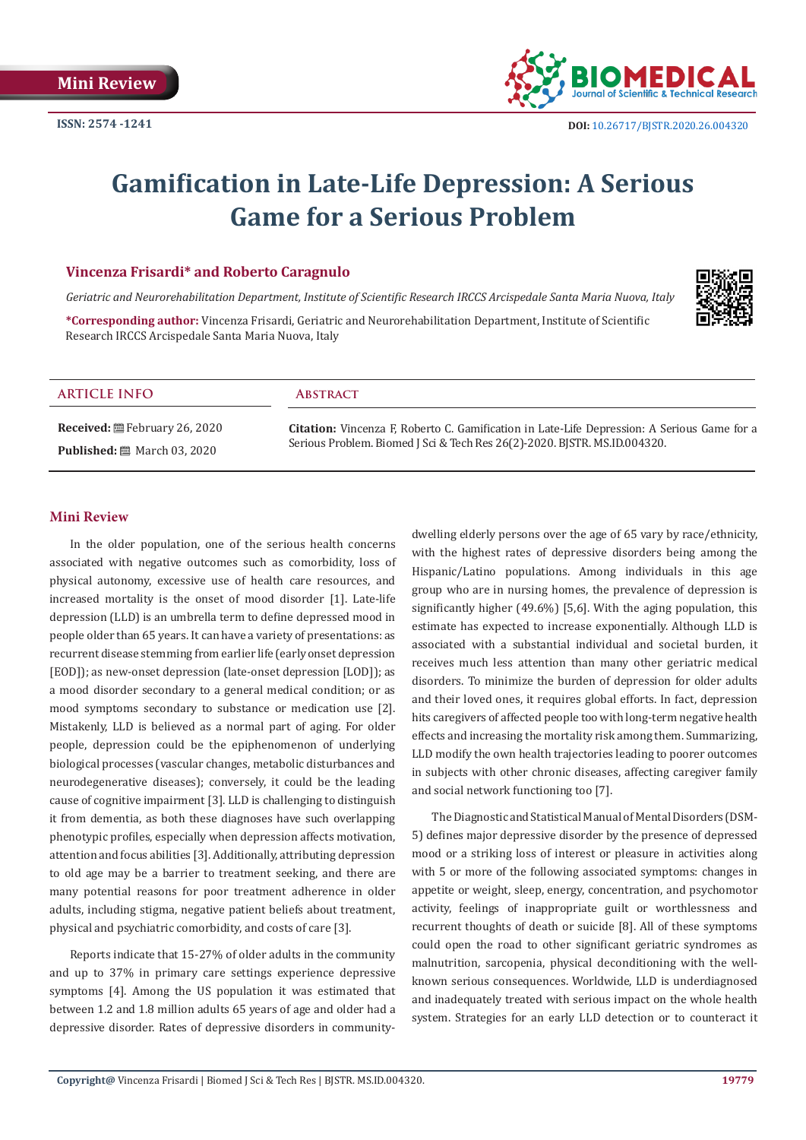

# **Gamification in Late-Life Depression: A Serious Game for a Serious Problem**

# **Vincenza Frisardi\* and Roberto Caragnulo**

*Geriatric and Neurorehabilitation Department, Institute of Scientific Research IRCCS Arcispedale Santa Maria Nuova, Italy*

**\*Corresponding author:** Vincenza Frisardi, Geriatric and Neurorehabilitation Department, Institute of Scientific Research IRCCS Arcispedale Santa Maria Nuova, Italy



# **ARTICLE INFO Abstract**

**Received:** February 26, 2020 **Published:** ■ March 03, 2020

**Citation:** Vincenza F, Roberto C. Gamification in Late-Life Depression: A Serious Game for a Serious Problem. Biomed J Sci & Tech Res 26(2)-2020. BJSTR. MS.ID.004320.

# **Mini Review**

In the older population, one of the serious health concerns associated with negative outcomes such as comorbidity, loss of physical autonomy, excessive use of health care resources, and increased mortality is the onset of mood disorder [1]. Late-life depression (LLD) is an umbrella term to define depressed mood in people older than 65 years. It can have a variety of presentations: as recurrent disease stemming from earlier life (early onset depression [EOD]); as new-onset depression (late-onset depression [LOD]); as a mood disorder secondary to a general medical condition; or as mood symptoms secondary to substance or medication use [2]. Mistakenly, LLD is believed as a normal part of aging. For older people, depression could be the epiphenomenon of underlying biological processes (vascular changes, metabolic disturbances and neurodegenerative diseases); conversely, it could be the leading cause of cognitive impairment [3]. LLD is challenging to distinguish it from dementia, as both these diagnoses have such overlapping phenotypic profiles, especially when depression affects motivation, attention and focus abilities [3]. Additionally, attributing depression to old age may be a barrier to treatment seeking, and there are many potential reasons for poor treatment adherence in older adults, including stigma, negative patient beliefs about treatment, physical and psychiatric comorbidity, and costs of care [3].

Reports indicate that 15-27% of older adults in the community and up to 37% in primary care settings experience depressive symptoms [4]. Among the US population it was estimated that between 1.2 and 1.8 million adults 65 years of age and older had a depressive disorder. Rates of depressive disorders in communitydwelling elderly persons over the age of 65 vary by race/ethnicity, with the highest rates of depressive disorders being among the Hispanic/Latino populations. Among individuals in this age group who are in nursing homes, the prevalence of depression is significantly higher (49.6%) [5,6]. With the aging population, this estimate has expected to increase exponentially. Although LLD is associated with a substantial individual and societal burden, it receives much less attention than many other geriatric medical disorders. To minimize the burden of depression for older adults and their loved ones, it requires global efforts. In fact, depression hits caregivers of affected people too with long-term negative health effects and increasing the mortality risk among them. Summarizing, LLD modify the own health trajectories leading to poorer outcomes in subjects with other chronic diseases, affecting caregiver family and social network functioning too [7].

The Diagnostic and Statistical Manual of Mental Disorders (DSM-5) defines major depressive disorder by the presence of depressed mood or a striking loss of interest or pleasure in activities along with 5 or more of the following associated symptoms: changes in appetite or weight, sleep, energy, concentration, and psychomotor activity, feelings of inappropriate guilt or worthlessness and recurrent thoughts of death or suicide [8]. All of these symptoms could open the road to other significant geriatric syndromes as malnutrition, sarcopenia, physical deconditioning with the wellknown serious consequences. Worldwide, LLD is underdiagnosed and inadequately treated with serious impact on the whole health system. Strategies for an early LLD detection or to counteract it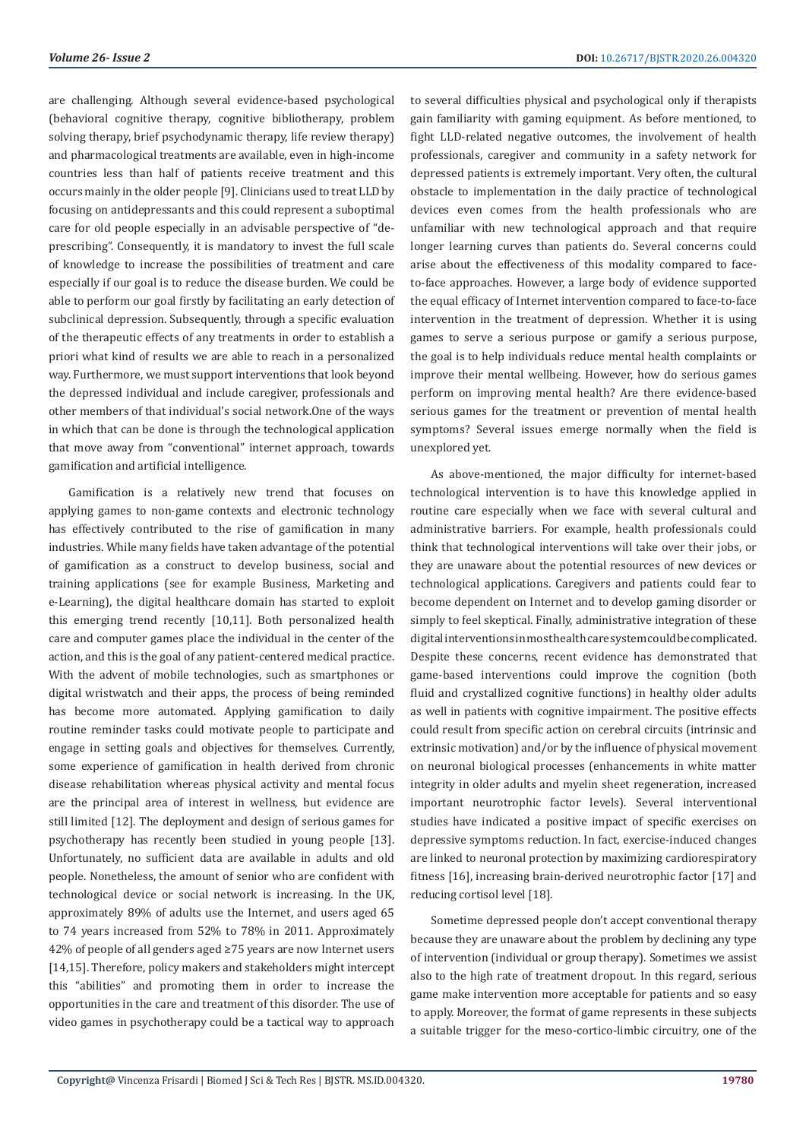are challenging. Although several evidence-based psychological (behavioral cognitive therapy, cognitive bibliotherapy, problem solving therapy, brief psychodynamic therapy, life review therapy) and pharmacological treatments are available, even in high-income countries less than half of patients receive treatment and this occurs mainly in the older people [9]. Clinicians used to treat LLD by focusing on antidepressants and this could represent a suboptimal care for old people especially in an advisable perspective of "deprescribing". Consequently, it is mandatory to invest the full scale of knowledge to increase the possibilities of treatment and care especially if our goal is to reduce the disease burden. We could be able to perform our goal firstly by facilitating an early detection of subclinical depression. Subsequently, through a specific evaluation of the therapeutic effects of any treatments in order to establish a priori what kind of results we are able to reach in a personalized way. Furthermore, we must support interventions that look beyond the depressed individual and include caregiver, professionals and other members of that individual's social network.One of the ways in which that can be done is through the technological application that move away from "conventional" internet approach, towards gamification and artificial intelligence.

Gamification is a relatively new trend that focuses on applying games to non-game contexts and electronic technology has effectively contributed to the rise of gamification in many industries. While many fields have taken advantage of the potential of gamification as a construct to develop business, social and training applications (see for example Business, Marketing and e-Learning), the digital healthcare domain has started to exploit this emerging trend recently [10,11]. Both personalized health care and computer games place the individual in the center of the action, and this is the goal of any patient-centered medical practice. With the advent of mobile technologies, such as smartphones or digital wristwatch and their apps, the process of being reminded has become more automated. Applying gamification to daily routine reminder tasks could motivate people to participate and engage in setting goals and objectives for themselves. Currently, some experience of gamification in health derived from chronic disease rehabilitation whereas physical activity and mental focus are the principal area of interest in wellness, but evidence are still limited [12]. The deployment and design of serious games for psychotherapy has recently been studied in young people [13]. Unfortunately, no sufficient data are available in adults and old people. Nonetheless, the amount of senior who are confident with technological device or social network is increasing. In the UK, approximately 89% of adults use the Internet, and users aged 65 to 74 years increased from 52% to 78% in 2011. Approximately 42% of people of all genders aged ≥75 years are now Internet users [14,15]. Therefore, policy makers and stakeholders might intercept this "abilities" and promoting them in order to increase the opportunities in the care and treatment of this disorder. The use of video games in psychotherapy could be a tactical way to approach to several difficulties physical and psychological only if therapists gain familiarity with gaming equipment. As before mentioned, to fight LLD-related negative outcomes, the involvement of health professionals, caregiver and community in a safety network for depressed patients is extremely important. Very often, the cultural obstacle to implementation in the daily practice of technological devices even comes from the health professionals who are unfamiliar with new technological approach and that require longer learning curves than patients do. Several concerns could arise about the effectiveness of this modality compared to faceto-face approaches. However, a large body of evidence supported the equal efficacy of Internet intervention compared to face-to-face intervention in the treatment of depression. Whether it is using games to serve a serious purpose or gamify a serious purpose, the goal is to help individuals reduce mental health complaints or improve their mental wellbeing. However, how do serious games perform on improving mental health? Are there evidence-based serious games for the treatment or prevention of mental health symptoms? Several issues emerge normally when the field is unexplored yet.

As above-mentioned, the major difficulty for internet-based technological intervention is to have this knowledge applied in routine care especially when we face with several cultural and administrative barriers. For example, health professionals could think that technological interventions will take over their jobs, or they are unaware about the potential resources of new devices or technological applications. Caregivers and patients could fear to become dependent on Internet and to develop gaming disorder or simply to feel skeptical. Finally, administrative integration of these digital interventions in most health care system could be complicated. Despite these concerns, recent evidence has demonstrated that game-based interventions could improve the cognition (both fluid and crystallized cognitive functions) in healthy older adults as well in patients with cognitive impairment. The positive effects could result from specific action on cerebral circuits (intrinsic and extrinsic motivation) and/or by the influence of physical movement on neuronal biological processes (enhancements in white matter integrity in older adults and myelin sheet regeneration, increased important neurotrophic factor levels). Several interventional studies have indicated a positive impact of specific exercises on depressive symptoms reduction. In fact, exercise-induced changes are linked to neuronal protection by maximizing cardiorespiratory fitness [16], increasing brain-derived neurotrophic factor [17] and reducing cortisol level [18].

Sometime depressed people don't accept conventional therapy because they are unaware about the problem by declining any type of intervention (individual or group therapy). Sometimes we assist also to the high rate of treatment dropout. In this regard, serious game make intervention more acceptable for patients and so easy to apply. Moreover, the format of game represents in these subjects a suitable trigger for the meso-cortico-limbic circuitry, one of the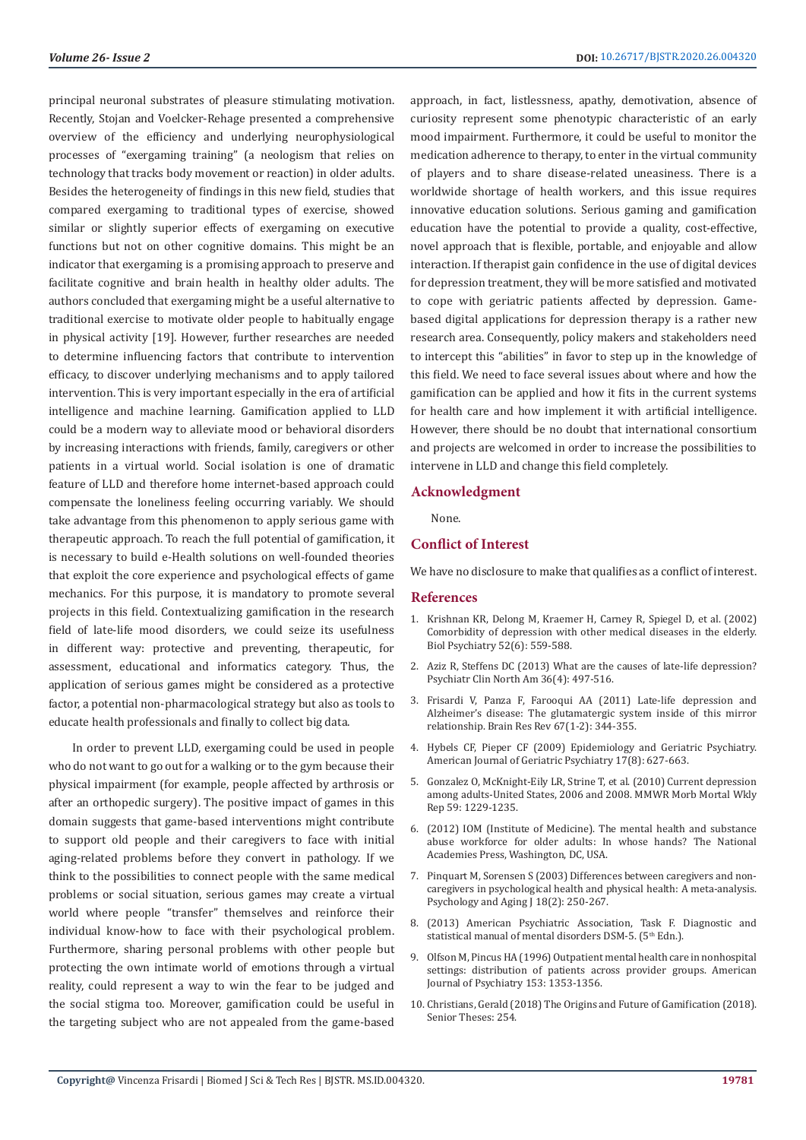principal neuronal substrates of pleasure stimulating motivation. Recently, Stojan and Voelcker-Rehage presented a comprehensive overview of the efficiency and underlying neurophysiological processes of "exergaming training" (a neologism that relies on technology that tracks body movement or reaction) in older adults. Besides the heterogeneity of findings in this new field, studies that compared exergaming to traditional types of exercise, showed similar or slightly superior effects of exergaming on executive functions but not on other cognitive domains. This might be an indicator that exergaming is a promising approach to preserve and facilitate cognitive and brain health in healthy older adults. The authors concluded that exergaming might be a useful alternative to traditional exercise to motivate older people to habitually engage in physical activity [19]. However, further researches are needed to determine influencing factors that contribute to intervention efficacy, to discover underlying mechanisms and to apply tailored intervention. This is very important especially in the era of artificial intelligence and machine learning. Gamification applied to LLD could be a modern way to alleviate mood or behavioral disorders by increasing interactions with friends, family, caregivers or other patients in a virtual world. Social isolation is one of dramatic feature of LLD and therefore home internet-based approach could compensate the loneliness feeling occurring variably. We should take advantage from this phenomenon to apply serious game with therapeutic approach. To reach the full potential of gamification, it is necessary to build e-Health solutions on well-founded theories that exploit the core experience and psychological effects of game mechanics. For this purpose, it is mandatory to promote several projects in this field. Contextualizing gamification in the research field of late-life mood disorders, we could seize its usefulness in different way: protective and preventing, therapeutic, for assessment, educational and informatics category. Thus, the application of serious games might be considered as a protective factor, a potential non-pharmacological strategy but also as tools to educate health professionals and finally to collect big data.

 In order to prevent LLD, exergaming could be used in people who do not want to go out for a walking or to the gym because their physical impairment (for example, people affected by arthrosis or after an orthopedic surgery). The positive impact of games in this domain suggests that game-based interventions might contribute to support old people and their caregivers to face with initial aging-related problems before they convert in pathology. If we think to the possibilities to connect people with the same medical problems or social situation, serious games may create a virtual world where people "transfer" themselves and reinforce their individual know-how to face with their psychological problem. Furthermore, sharing personal problems with other people but protecting the own intimate world of emotions through a virtual reality, could represent a way to win the fear to be judged and the social stigma too. Moreover, gamification could be useful in the targeting subject who are not appealed from the game-based

approach, in fact, listlessness, apathy, demotivation, absence of curiosity represent some phenotypic characteristic of an early mood impairment. Furthermore, it could be useful to monitor the medication adherence to therapy, to enter in the virtual community of players and to share disease-related uneasiness. There is a worldwide shortage of health workers, and this issue requires innovative education solutions. Serious gaming and gamification education have the potential to provide a quality, cost-effective, novel approach that is flexible, portable, and enjoyable and allow interaction. If therapist gain confidence in the use of digital devices for depression treatment, they will be more satisfied and motivated to cope with geriatric patients affected by depression. Gamebased digital applications for depression therapy is a rather new research area. Consequently, policy makers and stakeholders need to intercept this "abilities" in favor to step up in the knowledge of this field. We need to face several issues about where and how the gamification can be applied and how it fits in the current systems for health care and how implement it with artificial intelligence. However, there should be no doubt that international consortium and projects are welcomed in order to increase the possibilities to intervene in LLD and change this field completely.

### **Acknowledgment**

None.

# **Conflict of Interest**

We have no disclosure to make that qualifies as a conflict of interest.

# **References**

- 1. [Krishnan KR, Delong M, Kraemer H, Carney R, Spiegel D, et al. \(2002\)](https://www.ncbi.nlm.nih.gov/pubmed/12361669) [Comorbidity of depression with other medical diseases in the elderly.](https://www.ncbi.nlm.nih.gov/pubmed/12361669) [Biol Psychiatry 52\(6\): 559-588.](https://www.ncbi.nlm.nih.gov/pubmed/12361669)
- 2. [Aziz R, Steffens DC \(2013\) What are the causes of late-life depression?](https://www.ncbi.nlm.nih.gov/pubmed/24229653) [Psychiatr Clin North Am 36\(4\): 497-516.](https://www.ncbi.nlm.nih.gov/pubmed/24229653)
- 3. [Frisardi V, Panza F, Farooqui AA \(2011\) Late-life depression and](https://europepmc.org/article/med/21570126) [Alzheimer's disease: The glutamatergic system inside of this mirror](https://europepmc.org/article/med/21570126) [relationship. Brain Res Rev 67\(1-2\): 344-355.](https://europepmc.org/article/med/21570126)
- 4. [Hybels CF, Pieper CF \(2009\) Epidemiology and Geriatric Psychiatry.](https://www.ncbi.nlm.nih.gov/pubmed/19625783) [American Journal of Geriatric Psychiatry 17\(8\): 627-663](https://www.ncbi.nlm.nih.gov/pubmed/19625783).
- 5. [Gonzalez O, McKnight-Eily LR, Strine T, et al. \(2010\) Current depression](https://www.cdc.gov/mmwr/preview/mmwrhtml/mm5938a2.htm) [among adults-United States, 2006 and 2008. MMWR Morb Mortal Wkly](https://www.cdc.gov/mmwr/preview/mmwrhtml/mm5938a2.htm) [Rep 59: 1229-1235](https://www.cdc.gov/mmwr/preview/mmwrhtml/mm5938a2.htm).
- 6. (2012) IOM (Institute of Medicine). The mental health and substance abuse workforce for older adults: In whose hands? The National Academies Press, Washington, DC, USA.
- 7. [Pinquart M, Sorensen S \(2003\) Differences between caregivers and non](https://www.ncbi.nlm.nih.gov/pubmed/12825775)[caregivers in psychological health and physical health: A meta-analysis.](https://www.ncbi.nlm.nih.gov/pubmed/12825775) [Psychology and Aging J 18\(2\): 250-267.](https://www.ncbi.nlm.nih.gov/pubmed/12825775)
- 8. (2013) American Psychiatric Association, Task F. Diagnostic and statistical manual of mental disorders DSM-5. (5<sup>th</sup> Edn.).
- 9. [Olfson M, Pincus HA \(1996\) Outpatient mental health care in nonhospital](https://psycnet.apa.org/record/1996-00484-019) [settings: distribution of patients across provider groups. American](https://psycnet.apa.org/record/1996-00484-019) [Journal of Psychiatry 153: 1353-1356.](https://psycnet.apa.org/record/1996-00484-019)
- 10. [Christians, Gerald \(2018\) The Origins and Future of Gamification \(2018\).](https://scholarcommons.sc.edu/senior_theses/254) [Senior Theses: 254.](https://scholarcommons.sc.edu/senior_theses/254)